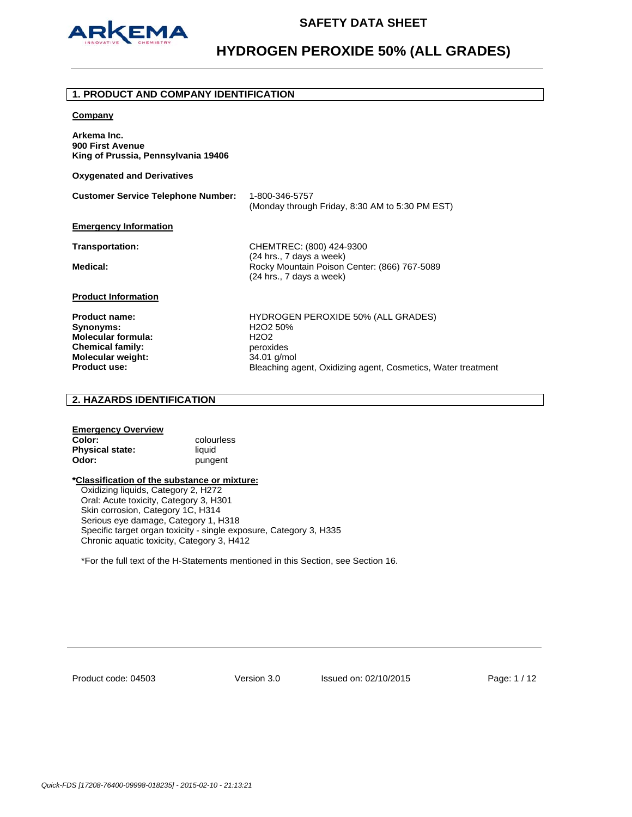

# **1. PRODUCT AND COMPANY IDENTIFICATION Company Arkema Inc. 900 First Avenue King of Prussia, Pennsylvania 19406 Oxygenated and Derivatives Customer Service Telephone Number:** 1-800-346-5757 (Monday through Friday, 8:30 AM to 5:30 PM EST) **Emergency Information Transportation:** CHEMTREC: (800) 424-9300 (24 hrs., 7 days a week) **Medical:** Rocky Mountain Poison Center: (866) 767-5089 (24 hrs., 7 days a week) **Product Information**

**Synonyms:** H2O2 50% **Molecular formula:** H2O2 **Chemical family:** peroxides **Molecular weight:** 34.01 g/mol<br>**Product use:** Bleaching a

**Product name:** HYDROGEN PEROXIDE 50% (ALL GRADES) **Bleaching agent, Oxidizing agent, Cosmetics, Water treatment** 

# **2. HAZARDS IDENTIFICATION**

## **Emergency Overview Color:** colourless **Physical state:** liquid **Odor: pungent**

### **\*Classification of the substance or mixture:**

Oxidizing liquids, Category 2, H272 Oral: Acute toxicity, Category 3, H301 Skin corrosion, Category 1C, H314 Serious eye damage, Category 1, H318 Specific target organ toxicity - single exposure, Category 3, H335 Chronic aquatic toxicity, Category 3, H412

\*For the full text of the H-Statements mentioned in this Section, see Section 16.

Product code: 04503

Version 3.0 Issued on: 02/10/2015 Page: 1 / 12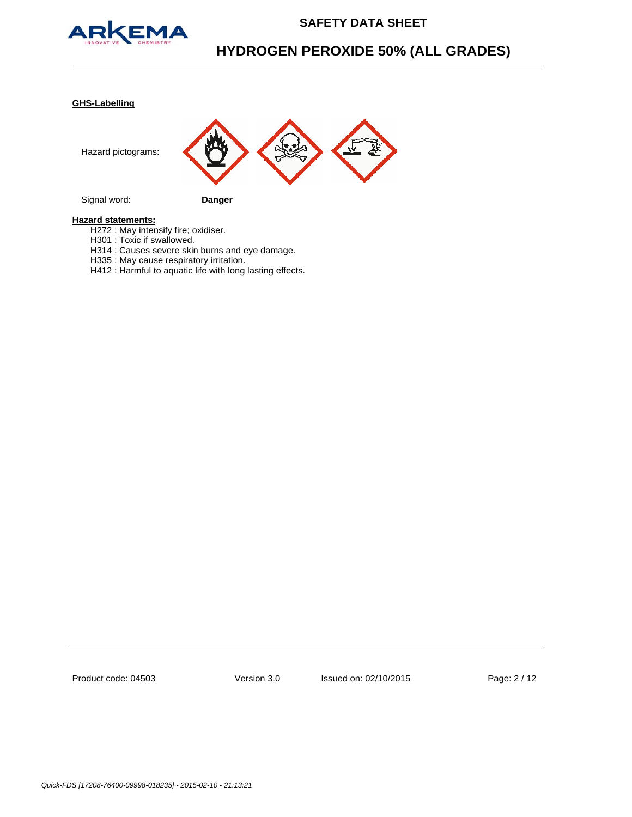

# **HYDROGEN PEROXIDE 50% (ALL GRADES)**

### **GHS-Labelling**



Signal word: **Danger**

## **Hazard statements:**

- H272 : May intensify fire; oxidiser.
- H301 : Toxic if swallowed.
- H314 : Causes severe skin burns and eye damage.
- H335 : May cause respiratory irritation.
- H412 : Harmful to aquatic life with long lasting effects.

Product code: 04503

Version 3.0 Issued on: 02/10/2015 Page: 2 / 12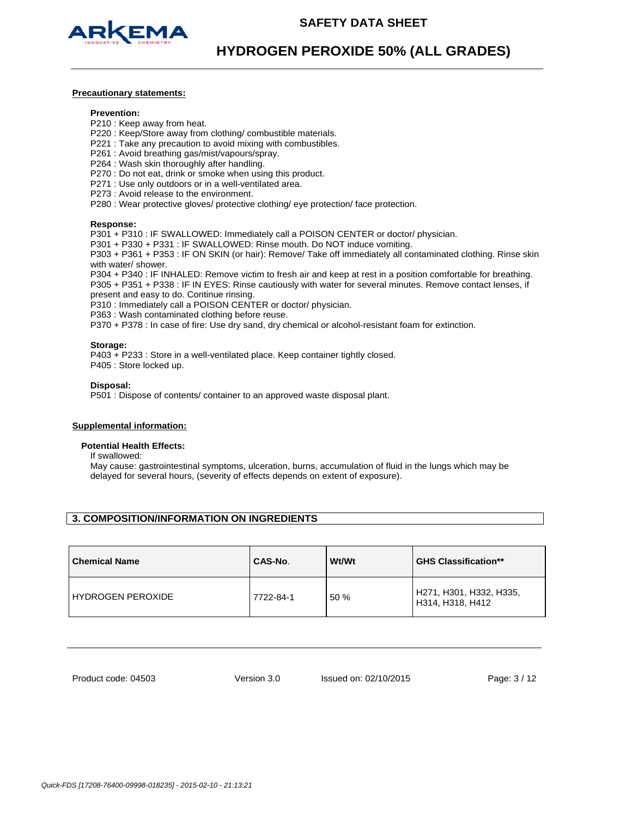

## **Precautionary statements:**

### **Prevention:**

- P210 : Keep away from heat.
- P220 : Keep/Store away from clothing/ combustible materials.
- P221 : Take any precaution to avoid mixing with combustibles.
- P261 : Avoid breathing gas/mist/vapours/spray.
- P264 : Wash skin thoroughly after handling.
- P270 : Do not eat, drink or smoke when using this product.
- P271 : Use only outdoors or in a well-ventilated area.
- P273 : Avoid release to the environment.
- P280 : Wear protective gloves/ protective clothing/ eye protection/ face protection.

### **Response:**

P301 + P310 : IF SWALLOWED: Immediately call a POISON CENTER or doctor/ physician.

P301 + P330 + P331 : IF SWALLOWED: Rinse mouth. Do NOT induce vomiting.

P303 + P361 + P353 : IF ON SKIN (or hair): Remove/ Take off immediately all contaminated clothing. Rinse skin with water/ shower.

P304 + P340 : IF INHALED: Remove victim to fresh air and keep at rest in a position comfortable for breathing. P305 + P351 + P338 : IF IN EYES: Rinse cautiously with water for several minutes. Remove contact lenses, if present and easy to do. Continue rinsing.

P310 : Immediately call a POISON CENTER or doctor/ physician.

P363 : Wash contaminated clothing before reuse.

P370 + P378 : In case of fire: Use dry sand, dry chemical or alcohol-resistant foam for extinction.

### **Storage:**

P403 + P233 : Store in a well-ventilated place. Keep container tightly closed. P405 : Store locked up.

### **Disposal:**

P501 : Dispose of contents/ container to an approved waste disposal plant.

### **Supplemental information:**

### **Potential Health Effects:**

If swallowed:

May cause: gastrointestinal symptoms, ulceration, burns, accumulation of fluid in the lungs which may be delayed for several hours, (severity of effects depends on extent of exposure).

## **3. COMPOSITION/INFORMATION ON INGREDIENTS**

| <b>Chemical Name</b>     | CAS-No.   | Wt/Wt | <b>GHS Classification**</b>                 |
|--------------------------|-----------|-------|---------------------------------------------|
| <b>HYDROGEN PEROXIDE</b> | 7722-84-1 | 50 %  | H271, H301, H332, H335,<br>H314, H318, H412 |

Product code: 04503

Version 3.0 Issued on: 02/10/2015 Page: 3 / 12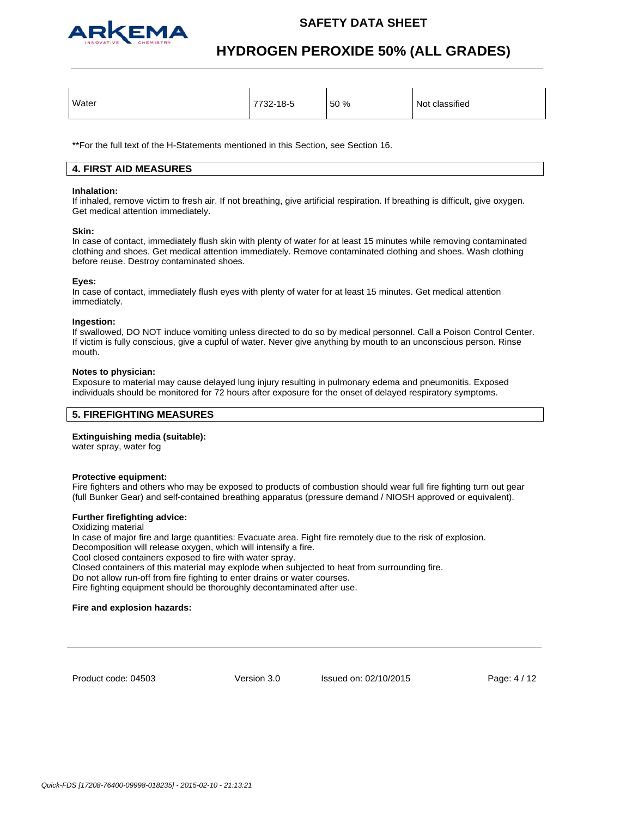

# **HYDROGEN PEROXIDE 50% (ALL GRADES)**

| Water<br>Not classified<br>50 %<br>7732-18-5 |  |  |  |  |
|----------------------------------------------|--|--|--|--|
|----------------------------------------------|--|--|--|--|

\*\*For the full text of the H-Statements mentioned in this Section, see Section 16.

## **4. FIRST AID MEASURES**

## **Inhalation:**

If inhaled, remove victim to fresh air. If not breathing, give artificial respiration. If breathing is difficult, give oxygen. Get medical attention immediately.

### **Skin:**

In case of contact, immediately flush skin with plenty of water for at least 15 minutes while removing contaminated clothing and shoes. Get medical attention immediately. Remove contaminated clothing and shoes. Wash clothing before reuse. Destroy contaminated shoes.

### **Eyes:**

In case of contact, immediately flush eyes with plenty of water for at least 15 minutes. Get medical attention immediately.

### **Ingestion:**

If swallowed, DO NOT induce vomiting unless directed to do so by medical personnel. Call a Poison Control Center. If victim is fully conscious, give a cupful of water. Never give anything by mouth to an unconscious person. Rinse mouth.

### **Notes to physician:**

Exposure to material may cause delayed lung injury resulting in pulmonary edema and pneumonitis. Exposed individuals should be monitored for 72 hours after exposure for the onset of delayed respiratory symptoms.

# **5. FIREFIGHTING MEASURES**

## **Extinguishing media (suitable):**

water spray, water fog

### **Protective equipment:**

Fire fighters and others who may be exposed to products of combustion should wear full fire fighting turn out gear (full Bunker Gear) and self-contained breathing apparatus (pressure demand / NIOSH approved or equivalent).

### **Further firefighting advice:**

Oxidizing material In case of major fire and large quantities: Evacuate area. Fight fire remotely due to the risk of explosion. Decomposition will release oxygen, which will intensify a fire. Cool closed containers exposed to fire with water spray. Closed containers of this material may explode when subjected to heat from surrounding fire. Do not allow run-off from fire fighting to enter drains or water courses. Fire fighting equipment should be thoroughly decontaminated after use.

### **Fire and explosion hazards:**

Product code: 04503

Version 3.0 Issued on: 02/10/2015 Page: 4 / 12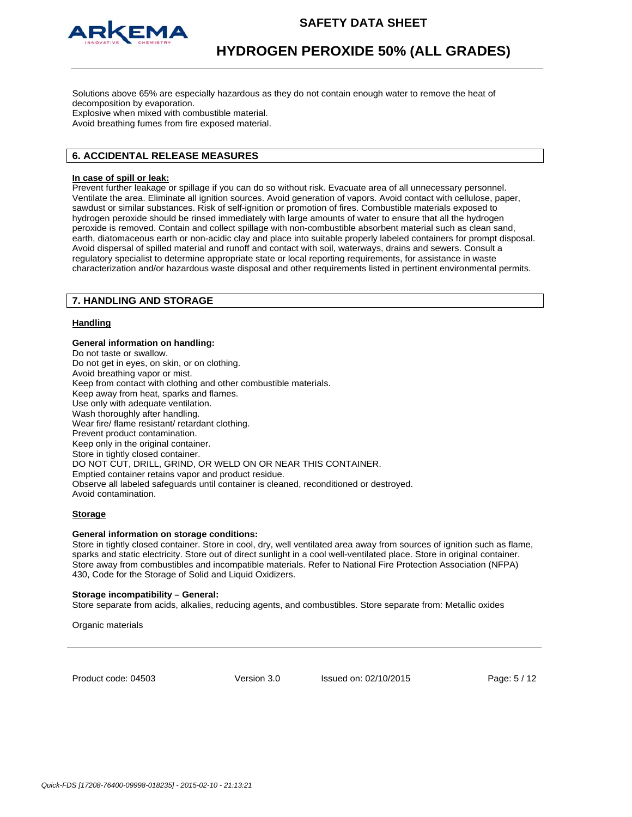

Solutions above 65% are especially hazardous as they do not contain enough water to remove the heat of decomposition by evaporation.

Explosive when mixed with combustible material. Avoid breathing fumes from fire exposed material.

# **6. ACCIDENTAL RELEASE MEASURES**

### **In case of spill or leak:**

Prevent further leakage or spillage if you can do so without risk. Evacuate area of all unnecessary personnel. Ventilate the area. Eliminate all ignition sources. Avoid generation of vapors. Avoid contact with cellulose, paper, sawdust or similar substances. Risk of self-ignition or promotion of fires. Combustible materials exposed to hydrogen peroxide should be rinsed immediately with large amounts of water to ensure that all the hydrogen peroxide is removed. Contain and collect spillage with non-combustible absorbent material such as clean sand, earth, diatomaceous earth or non-acidic clay and place into suitable properly labeled containers for prompt disposal. Avoid dispersal of spilled material and runoff and contact with soil, waterways, drains and sewers. Consult a regulatory specialist to determine appropriate state or local reporting requirements, for assistance in waste characterization and/or hazardous waste disposal and other requirements listed in pertinent environmental permits.

## **7. HANDLING AND STORAGE**

### **Handling**

# **General information on handling:**

Do not taste or swallow. Do not get in eyes, on skin, or on clothing. Avoid breathing vapor or mist. Keep from contact with clothing and other combustible materials. Keep away from heat, sparks and flames. Use only with adequate ventilation. Wash thoroughly after handling. Wear fire/ flame resistant/ retardant clothing. Prevent product contamination. Keep only in the original container. Store in tightly closed container. DO NOT CUT, DRILL, GRIND, OR WELD ON OR NEAR THIS CONTAINER. Emptied container retains vapor and product residue. Observe all labeled safeguards until container is cleaned, reconditioned or destroyed. Avoid contamination.

### **Storage**

### **General information on storage conditions:**

Store in tightly closed container. Store in cool, dry, well ventilated area away from sources of ignition such as flame, sparks and static electricity. Store out of direct sunlight in a cool well-ventilated place. Store in original container. Store away from combustibles and incompatible materials. Refer to National Fire Protection Association (NFPA) 430, Code for the Storage of Solid and Liquid Oxidizers.

### **Storage incompatibility – General:**

Store separate from acids, alkalies, reducing agents, and combustibles. Store separate from: Metallic oxides

Organic materials

Product code: 04503

Version 3.0 Issued on: 02/10/2015 Page: 5 / 12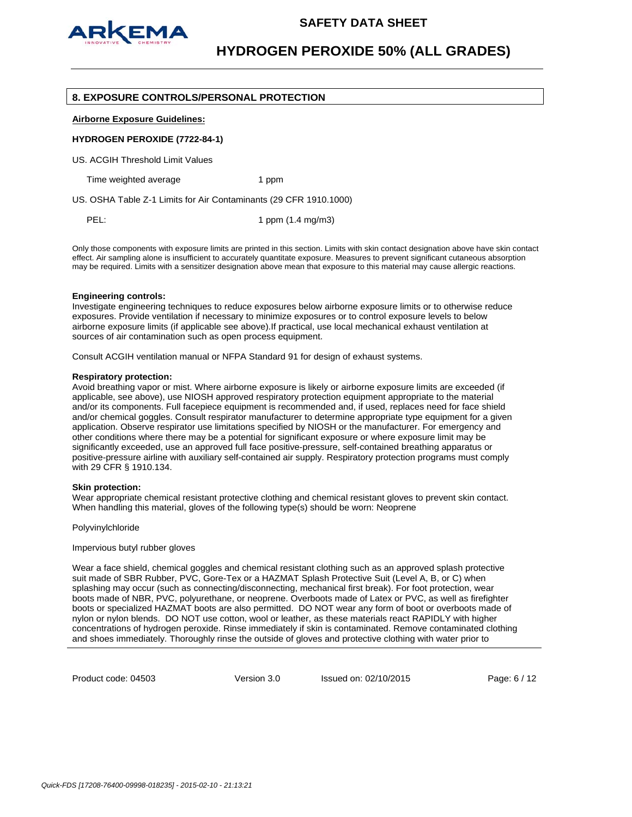

### **8. EXPOSURE CONTROLS/PERSONAL PROTECTION**

**Airborne Exposure Guidelines:**

### **HYDROGEN PEROXIDE (7722-84-1)**

US. ACGIH Threshold Limit Values

Time weighted average 1 ppm

US. OSHA Table Z-1 Limits for Air Contaminants (29 CFR 1910.1000)

PEL: 1 ppm (1.4 mg/m3)

Only those components with exposure limits are printed in this section. Limits with skin contact designation above have skin contact effect. Air sampling alone is insufficient to accurately quantitate exposure. Measures to prevent significant cutaneous absorption may be required. Limits with a sensitizer designation above mean that exposure to this material may cause allergic reactions.

### **Engineering controls:**

Investigate engineering techniques to reduce exposures below airborne exposure limits or to otherwise reduce exposures. Provide ventilation if necessary to minimize exposures or to control exposure levels to below airborne exposure limits (if applicable see above).If practical, use local mechanical exhaust ventilation at sources of air contamination such as open process equipment.

Consult ACGIH ventilation manual or NFPA Standard 91 for design of exhaust systems.

### **Respiratory protection:**

Avoid breathing vapor or mist. Where airborne exposure is likely or airborne exposure limits are exceeded (if applicable, see above), use NIOSH approved respiratory protection equipment appropriate to the material and/or its components. Full facepiece equipment is recommended and, if used, replaces need for face shield and/or chemical goggles. Consult respirator manufacturer to determine appropriate type equipment for a given application. Observe respirator use limitations specified by NIOSH or the manufacturer. For emergency and other conditions where there may be a potential for significant exposure or where exposure limit may be significantly exceeded, use an approved full face positive-pressure, self-contained breathing apparatus or positive-pressure airline with auxiliary self-contained air supply. Respiratory protection programs must comply with 29 CFR § 1910.134.

### **Skin protection:**

Wear appropriate chemical resistant protective clothing and chemical resistant gloves to prevent skin contact. When handling this material, gloves of the following type(s) should be worn: Neoprene

Polyvinylchloride

Impervious butyl rubber gloves

Wear a face shield, chemical goggles and chemical resistant clothing such as an approved splash protective suit made of SBR Rubber, PVC, Gore-Tex or a HAZMAT Splash Protective Suit (Level A, B, or C) when splashing may occur (such as connecting/disconnecting, mechanical first break). For foot protection, wear boots made of NBR, PVC, polyurethane, or neoprene. Overboots made of Latex or PVC, as well as firefighter boots or specialized HAZMAT boots are also permitted. DO NOT wear any form of boot or overboots made of nylon or nylon blends. DO NOT use cotton, wool or leather, as these materials react RAPIDLY with higher concentrations of hydrogen peroxide. Rinse immediately if skin is contaminated. Remove contaminated clothing and shoes immediately. Thoroughly rinse the outside of gloves and protective clothing with water prior to

Product code: 04503

Version 3.0 Issued on: 02/10/2015 Page: 6 / 12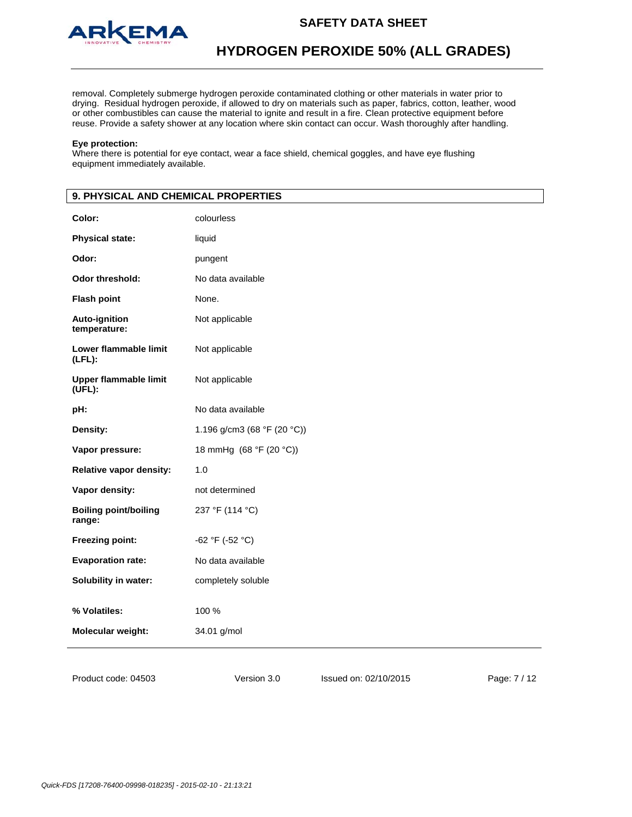

removal. Completely submerge hydrogen peroxide contaminated clothing or other materials in water prior to drying. Residual hydrogen peroxide, if allowed to dry on materials such as paper, fabrics, cotton, leather, wood or other combustibles can cause the material to ignite and result in a fire. Clean protective equipment before reuse. Provide a safety shower at any location where skin contact can occur. Wash thoroughly after handling.

### **Eye protection:**

Where there is potential for eye contact, wear a face shield, chemical goggles, and have eye flushing equipment immediately available.

# **9. PHYSICAL AND CHEMICAL PROPERTIES Color:** colourless **Physical state:** liquid **Odor:** pungent **Odor threshold:** No data available **Flash point** None. **Auto-ignition temperature:** Not applicable **Lower flammable limit (LFL):** Not applicable **Upper flammable limit (UFL):** Not applicable **pH:** No data available **Density: 1.196 g/cm3 (68 °F (20 °C)) Vapor pressure:** 18 mmHg (68 °F (20 °C)) **Relative vapor density:** 1.0 **Vapor density:** not determined **Boiling point/boiling range:**  237 °F (114 °C) **Freezing point:** -62 °F (-52 °C) **Evaporation rate:** No data available **Solubility in water:** completely soluble **% Volatiles:** 100 % **Molecular weight:** 34.01 g/mol

Version 3.0 Issued on: 02/10/2015 Page: 7 / 12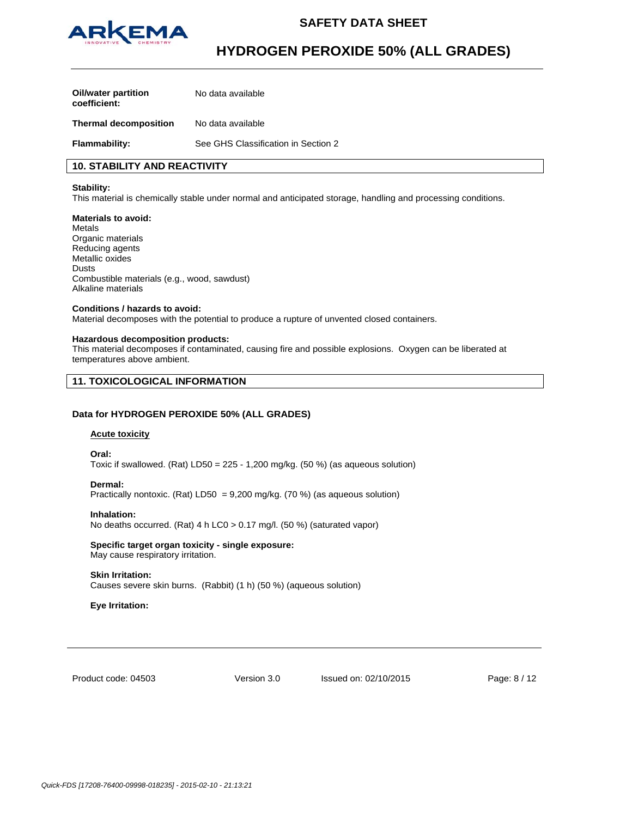

# **HYDROGEN PEROXIDE 50% (ALL GRADES)**

| Oil/water partition<br>coefficient: | No data available                   |
|-------------------------------------|-------------------------------------|
| <b>Thermal decomposition</b>        | No data available                   |
| <b>Flammability:</b>                | See GHS Classification in Section 2 |

# **10. STABILITY AND REACTIVITY**

### **Stability:**

This material is chemically stable under normal and anticipated storage, handling and processing conditions.

### **Materials to avoid:**

Metals Organic materials Reducing agents Metallic oxides Dusts Combustible materials (e.g., wood, sawdust) Alkaline materials

## **Conditions / hazards to avoid:**

Material decomposes with the potential to produce a rupture of unvented closed containers.

### **Hazardous decomposition products:**

This material decomposes if contaminated, causing fire and possible explosions. Oxygen can be liberated at temperatures above ambient.

## **11. TOXICOLOGICAL INFORMATION**

### **Data for HYDROGEN PEROXIDE 50% (ALL GRADES)**

### **Acute toxicity**

**Oral:**

Toxic if swallowed. (Rat)  $LD50 = 225 - 1,200$  mg/kg. (50 %) (as aqueous solution)

### **Dermal:**

Practically nontoxic. (Rat) LD50 = 9,200 mg/kg. (70 %) (as aqueous solution)

### **Inhalation:**

No deaths occurred. (Rat) 4 h LC0 > 0.17 mg/l. (50 %) (saturated vapor)

# **Specific target organ toxicity - single exposure:**

May cause respiratory irritation.

### **Skin Irritation:**

Causes severe skin burns. (Rabbit) (1 h) (50 %) (aqueous solution)

### **Eye Irritation:**

Product code: 04503

Version 3.0 Issued on: 02/10/2015 Page: 8 / 12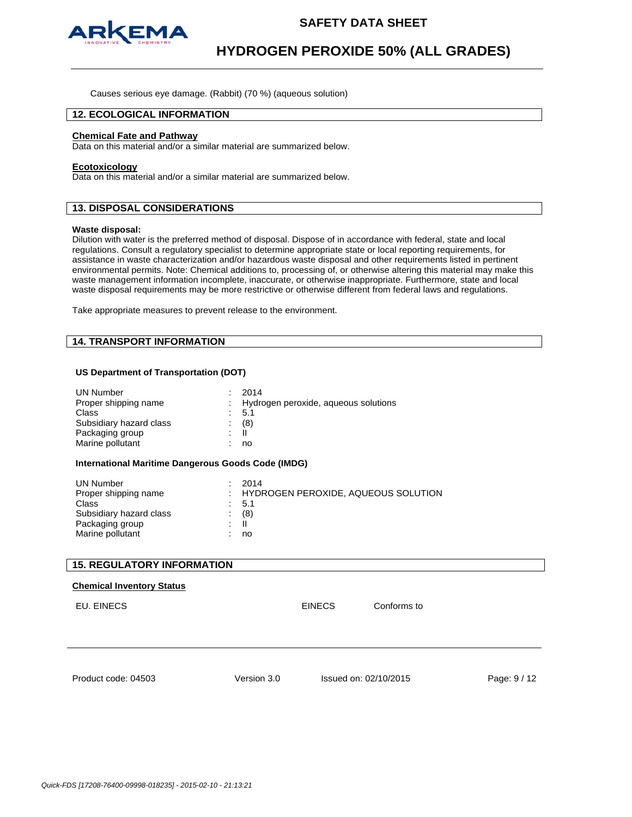

Causes serious eye damage. (Rabbit) (70 %) (aqueous solution)

## **12. ECOLOGICAL INFORMATION**

### **Chemical Fate and Pathway**

Data on this material and/or a similar material are summarized below.

#### **Ecotoxicology**

Data on this material and/or a similar material are summarized below.

## **13. DISPOSAL CONSIDERATIONS**

### **Waste disposal:**

Dilution with water is the preferred method of disposal. Dispose of in accordance with federal, state and local regulations. Consult a regulatory specialist to determine appropriate state or local reporting requirements, for assistance in waste characterization and/or hazardous waste disposal and other requirements listed in pertinent environmental permits. Note: Chemical additions to, processing of, or otherwise altering this material may make this waste management information incomplete, inaccurate, or otherwise inappropriate. Furthermore, state and local waste disposal requirements may be more restrictive or otherwise different from federal laws and regulations.

Take appropriate measures to prevent release to the environment.

# **14. TRANSPORT INFORMATION**

### **US Department of Transportation (DOT)**

| <b>UN Number</b><br>Proper shipping name<br>Class<br>Subsidiary hazard class<br>Packaging group<br>Marine pollutant<br><b>International Maritime Dangerous Goods Code (IMDG)</b> | 2014<br>5.1<br>(8)<br>$\mathbf{H}$<br>no | Hydrogen peroxide, aqueous solutions |              |
|----------------------------------------------------------------------------------------------------------------------------------------------------------------------------------|------------------------------------------|--------------------------------------|--------------|
| <b>UN Number</b><br>Proper shipping name<br>Class<br>Subsidiary hazard class<br>Packaging group<br>Marine pollutant                                                              | 2014<br>5.1<br>(8)<br>$\mathbf{H}$<br>no | HYDROGEN PEROXIDE, AQUEOUS SOLUTION  |              |
| <b>15. REGULATORY INFORMATION</b>                                                                                                                                                |                                          |                                      |              |
| <b>Chemical Inventory Status</b><br>EU. EINECS                                                                                                                                   |                                          | <b>EINECS</b>                        | Conforms to  |
| Product code: 04503                                                                                                                                                              | Version 3.0                              | Issued on: 02/10/2015                | Page: 9 / 12 |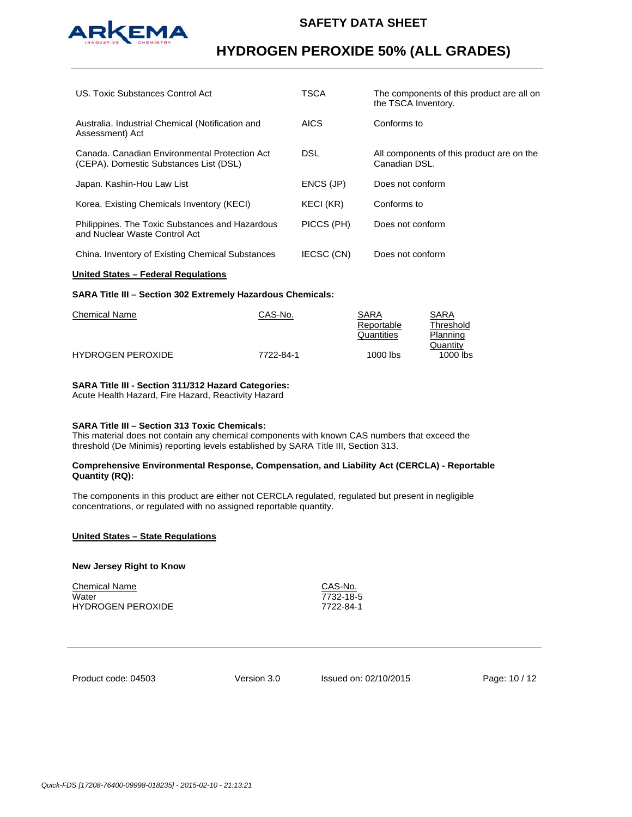

# **HYDROGEN PEROXIDE 50% (ALL GRADES)**

| US. Toxic Substances Control Act                                                        | TSCA        | The components of this product are all on<br>the TSCA Inventory. |
|-----------------------------------------------------------------------------------------|-------------|------------------------------------------------------------------|
| Australia. Industrial Chemical (Notification and<br>Assessment) Act                     | <b>AICS</b> | Conforms to                                                      |
| Canada, Canadian Environmental Protection Act<br>(CEPA). Domestic Substances List (DSL) | DSL.        | All components of this product are on the<br>Canadian DSL.       |
| Japan. Kashin-Hou Law List                                                              | ENCS (JP)   | Does not conform                                                 |
| Korea. Existing Chemicals Inventory (KECI)                                              | KECI (KR)   | Conforms to                                                      |
| Philippines. The Toxic Substances and Hazardous<br>and Nuclear Waste Control Act        | PICCS (PH)  | Does not conform                                                 |
| China. Inventory of Existing Chemical Substances                                        | IECSC (CN)  | Does not conform                                                 |

### **United States – Federal Regulations**

### **SARA Title III – Section 302 Extremely Hazardous Chemicals:**

| Chemical Name            | CAS-No.   | SARA       | <b>SARA</b> |
|--------------------------|-----------|------------|-------------|
|                          |           | Reportable | Threshold   |
|                          |           | Quantities | Planning    |
|                          |           |            | Quantity    |
| <b>HYDROGEN PEROXIDE</b> | 7722-84-1 | 1000 lbs   | $1000$ lbs  |
|                          |           |            |             |

## **SARA Title III - Section 311/312 Hazard Categories:**

Acute Health Hazard, Fire Hazard, Reactivity Hazard

## **SARA Title III – Section 313 Toxic Chemicals:**

This material does not contain any chemical components with known CAS numbers that exceed the threshold (De Minimis) reporting levels established by SARA Title III, Section 313.

### **Comprehensive Environmental Response, Compensation, and Liability Act (CERCLA) - Reportable Quantity (RQ):**

The components in this product are either not CERCLA regulated, regulated but present in negligible concentrations, or regulated with no assigned reportable quantity.

### **United States – State Regulations**

### **New Jersey Right to Know**

Chemical Name CAS-No. Water 7732-18-5 HYDROGEN PEROXIDE 7722-84-1

Product code: 04503

Version 3.0 Issued on: 02/10/2015 Page: 10 / 12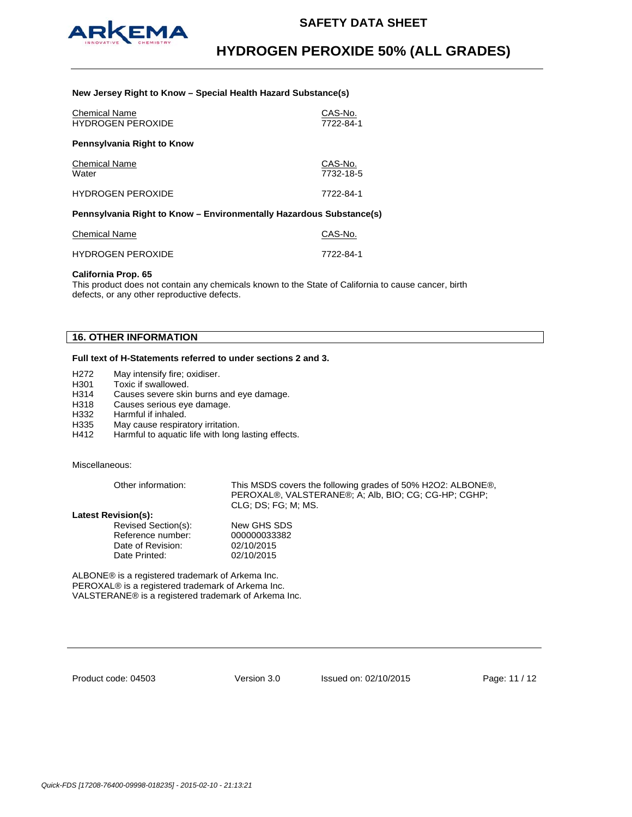

### **New Jersey Right to Know – Special Health Hazard Substance(s)**

| <b>Chemical Name</b><br><b>HYDROGEN PEROXIDE</b>                    | CAS-No.<br>7722-84-1 |
|---------------------------------------------------------------------|----------------------|
| Pennsylvania Right to Know                                          |                      |
| <b>Chemical Name</b><br>Water                                       | CAS-No.<br>7732-18-5 |
| <b>HYDROGEN PEROXIDE</b>                                            | 7722-84-1            |
| Pennsylvania Right to Know - Environmentally Hazardous Substance(s) |                      |

| Chemical Name            | CAS-No.   |
|--------------------------|-----------|
| <b>HYDROGEN PEROXIDE</b> | 7722-84-1 |

### **California Prop. 65**

This product does not contain any chemicals known to the State of California to cause cancer, birth defects, or any other reproductive defects.

# **16. OTHER INFORMATION**

## **Full text of H-Statements referred to under sections 2 and 3.**

- H272 May intensify fire; oxidiser.
- H301 Toxic if swallowed.
- H314 Causes severe skin burns and eye damage.
- H318 Causes serious eye damage.<br>H332 Harmful if inhaled.
- H332 Harmful if inhaled.<br>H335 May cause respiration
- May cause respiratory irritation.
- H412 Harmful to aquatic life with long lasting effects.

### Miscellaneous:

| Other information:         | This MSDS covers the following grades of 50% H2O2: ALBONE®,<br>PEROXAL®, VALSTERANE®; A; Alb, BIO; CG; CG-HP; CGHP;<br>CLG: DS: FG: M: MS. |
|----------------------------|--------------------------------------------------------------------------------------------------------------------------------------------|
| <b>Latest Revision(s):</b> |                                                                                                                                            |
| Revised Section(s):        | New GHS SDS                                                                                                                                |
| Reference number:          | 000000033382                                                                                                                               |
| Date of Revision:          | 02/10/2015                                                                                                                                 |

ALBONE® is a registered trademark of Arkema Inc. PEROXAL® is a registered trademark of Arkema Inc. VALSTERANE® is a registered trademark of Arkema Inc.

Date Printed: 02/10/2015

| Product code: 04503 |  |  |
|---------------------|--|--|
|---------------------|--|--|

Version 3.0 Issued on: 02/10/2015 Page: 11 / 12